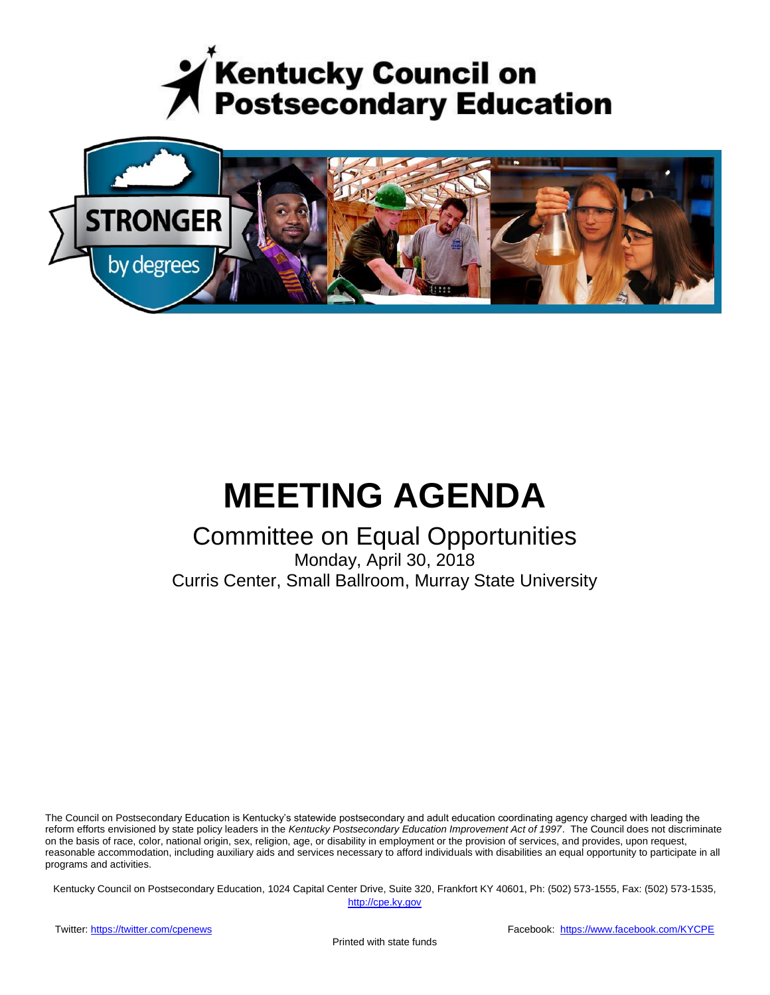



# **MEETING AGENDA**

### Committee on Equal Opportunities

Monday, April 30, 2018 Curris Center, Small Ballroom, Murray State University

The Council on Postsecondary Education is Kentucky's statewide postsecondary and adult education coordinating agency charged with leading the reform efforts envisioned by state policy leaders in the *Kentucky Postsecondary Education Improvement Act of 1997*. The Council does not discriminate on the basis of race, color, national origin, sex, religion, age, or disability in employment or the provision of services, and provides, upon request, reasonable accommodation, including auxiliary aids and services necessary to afford individuals with disabilities an equal opportunity to participate in all programs and activities.

Kentucky Council on Postsecondary Education, 1024 Capital Center Drive, Suite 320, Frankfort KY 40601, Ph: (502) 573-1555, Fax: (502) 573-1535,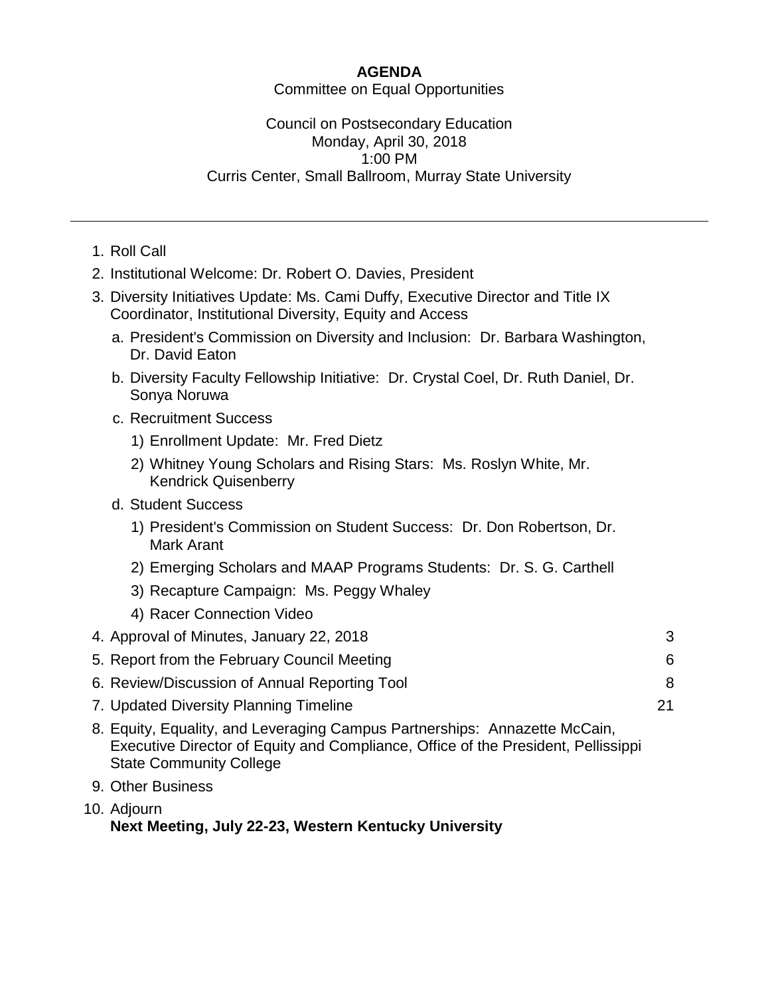#### **AGENDA**

Committee on Equal Opportunities

#### Council on Postsecondary Education Monday, April 30, 2018 1:00 PM Curris Center, Small Ballroom, Murray State University

- 1. Roll Call
- 2. Institutional Welcome: Dr. Robert O. Davies, President
- 3. Diversity Initiatives Update: Ms. Cami Duffy, Executive Director and Title IX Coordinator, Institutional Diversity, Equity and Access
	- a. President's Commission on Diversity and Inclusion: Dr. Barbara Washington, Dr. David Eaton
	- b. Diversity Faculty Fellowship Initiative: Dr. Crystal Coel, Dr. Ruth Daniel, Dr. Sonya Noruwa
	- c. Recruitment Success
		- 1) Enrollment Update: Mr. Fred Dietz
		- 2) Whitney Young Scholars and Rising Stars: Ms. Roslyn White, Mr. Kendrick Quisenberry
	- d. Student Success
		- 1) President's Commission on Student Success: Dr. Don Robertson, Dr. Mark Arant
		- 2) Emerging Scholars and MAAP Programs Students: Dr. S. G. Carthell
		- 3) Recapture Campaign: Ms. Peggy Whaley
		- 4) Racer Connection Video

| 4. Approval of Minutes, January 22, 2018      |    |
|-----------------------------------------------|----|
| 5. Report from the February Council Meeting   | 6  |
| 6. Review/Discussion of Annual Reporting Tool | 8  |
| 7. Updated Diversity Planning Timeline        | 21 |

- 8. Equity, Equality, and Leveraging Campus Partnerships: Annazette McCain, Executive Director of Equity and Compliance, Office of the President, Pellissippi State Community College
- 9. Other Business
- 10. Adjourn **Next Meeting, July 22-23, Western Kentucky University**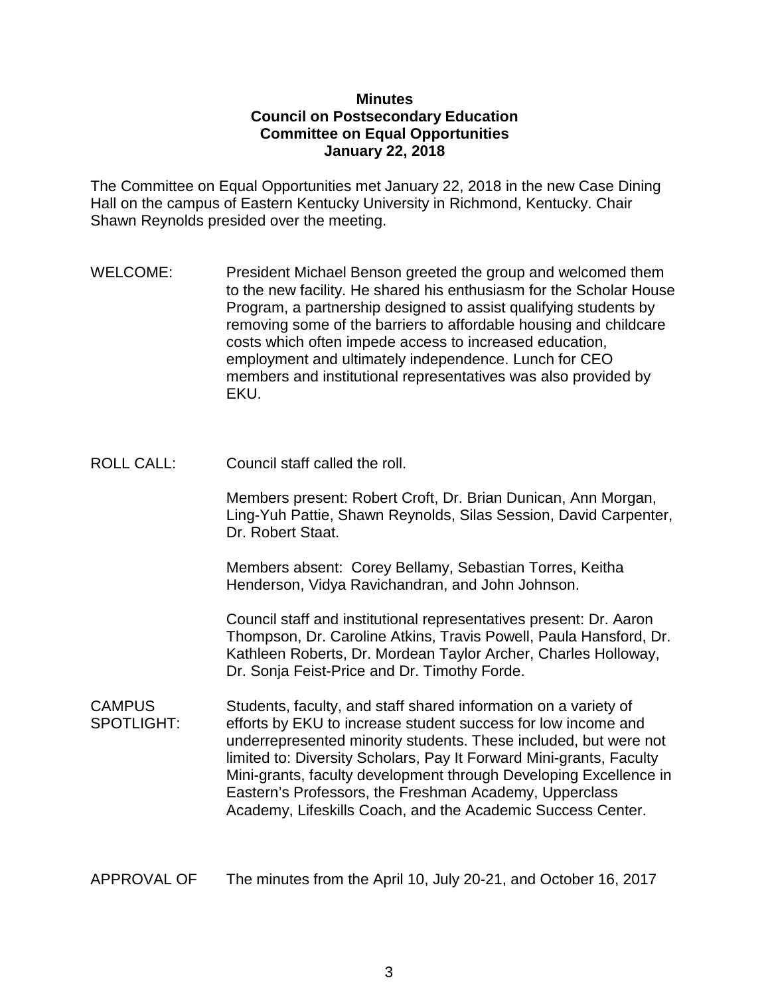#### **Minutes Council on Postsecondary Education Committee on Equal Opportunities January 22, 2018**

The Committee on Equal Opportunities met January 22, 2018 in the new Case Dining Hall on the campus of Eastern Kentucky University in Richmond, Kentucky. Chair Shawn Reynolds presided over the meeting.

- WELCOME: President Michael Benson greeted the group and welcomed them to the new facility. He shared his enthusiasm for the Scholar House Program, a partnership designed to assist qualifying students by removing some of the barriers to affordable housing and childcare costs which often impede access to increased education, employment and ultimately independence. Lunch for CEO members and institutional representatives was also provided by EKU.
- ROLL CALL: Council staff called the roll.

Members present: Robert Croft, Dr. Brian Dunican, Ann Morgan, Ling-Yuh Pattie, Shawn Reynolds, Silas Session, David Carpenter, Dr. Robert Staat.

Members absent: Corey Bellamy, Sebastian Torres, Keitha Henderson, Vidya Ravichandran, and John Johnson.

Council staff and institutional representatives present: Dr. Aaron Thompson, Dr. Caroline Atkins, Travis Powell, Paula Hansford, Dr. Kathleen Roberts, Dr. Mordean Taylor Archer, Charles Holloway, Dr. Sonja Feist-Price and Dr. Timothy Forde.

CAMPUS Students, faculty, and staff shared information on a variety of SPOTLIGHT: efforts by EKU to increase student success for low income and underrepresented minority students. These included, but were not limited to: Diversity Scholars, Pay It Forward Mini-grants, Faculty Mini-grants, faculty development through Developing Excellence in Eastern's Professors, the Freshman Academy, Upperclass Academy, Lifeskills Coach, and the Academic Success Center.

APPROVAL OF The minutes from the April 10, July 20-21, and October 16, 2017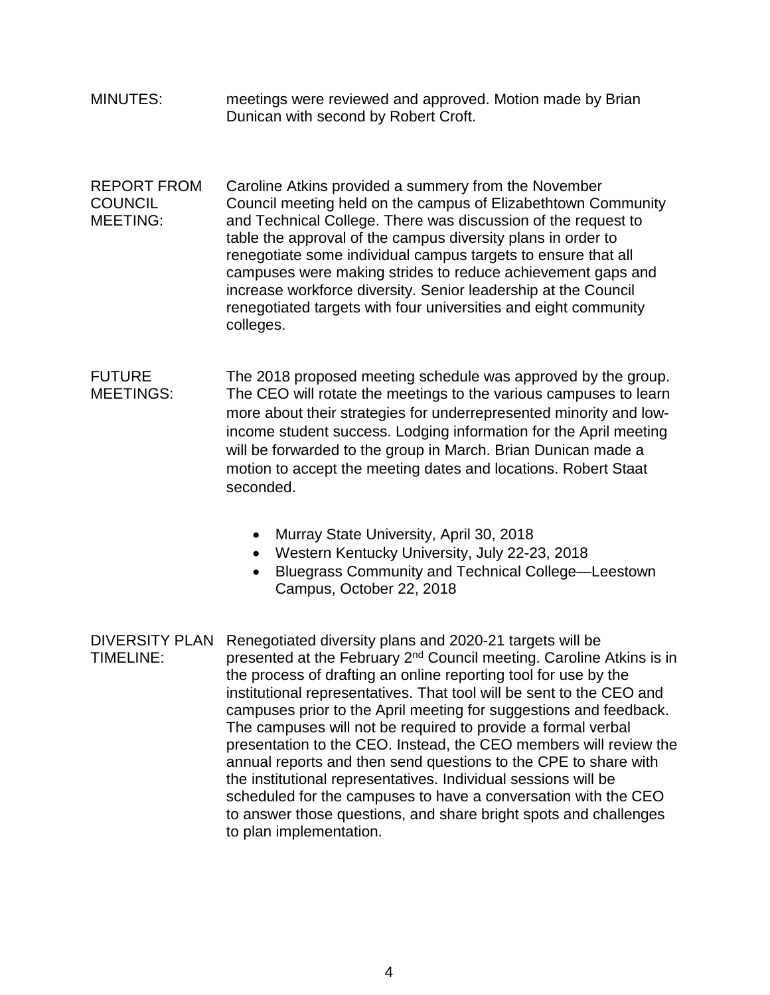- MINUTES: meetings were reviewed and approved. Motion made by Brian Dunican with second by Robert Croft.
- REPORT FROM Caroline Atkins provided a summery from the November COUNCIL Council meeting held on the campus of Elizabethtown Community MEETING: and Technical College. There was discussion of the request to table the approval of the campus diversity plans in order to renegotiate some individual campus targets to ensure that all campuses were making strides to reduce achievement gaps and increase workforce diversity. Senior leadership at the Council renegotiated targets with four universities and eight community colleges.

FUTURE The 2018 proposed meeting schedule was approved by the group. MEETINGS: The CEO will rotate the meetings to the various campuses to learn more about their strategies for underrepresented minority and lowincome student success. Lodging information for the April meeting will be forwarded to the group in March. Brian Dunican made a motion to accept the meeting dates and locations. Robert Staat seconded.

- Murray State University, April 30, 2018
- Western Kentucky University, July 22-23, 2018
- Bluegrass Community and Technical College—Leestown Campus, October 22, 2018

DIVERSITY PLAN Renegotiated diversity plans and 2020-21 targets will be TIMELINE: presented at the February  $2<sup>nd</sup>$  Council meeting. Caroline Atkins is in the process of drafting an online reporting tool for use by the institutional representatives. That tool will be sent to the CEO and campuses prior to the April meeting for suggestions and feedback. The campuses will not be required to provide a formal verbal presentation to the CEO. Instead, the CEO members will review the annual reports and then send questions to the CPE to share with the institutional representatives. Individual sessions will be scheduled for the campuses to have a conversation with the CEO to answer those questions, and share bright spots and challenges to plan implementation.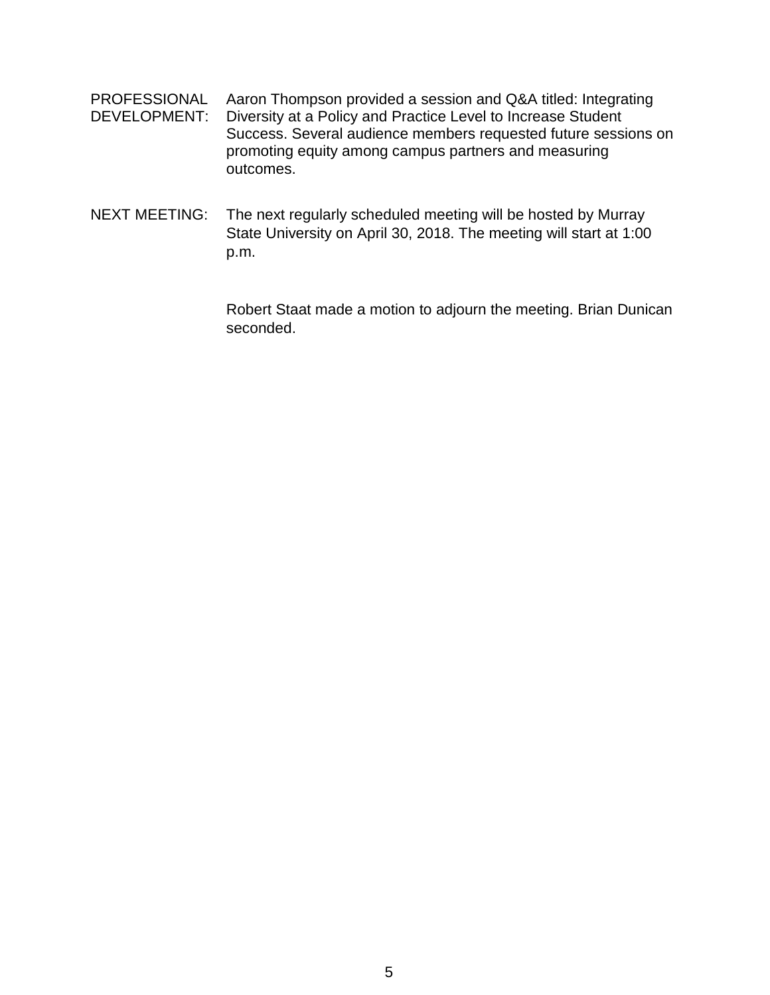- PROFESSIONAL Aaron Thompson provided a session and Q&A titled: Integrating DEVELOPMENT: Diversity at a Policy and Practice Level to Increase Student Success. Several audience members requested future sessions on promoting equity among campus partners and measuring outcomes.
- NEXT MEETING: The next regularly scheduled meeting will be hosted by Murray State University on April 30, 2018. The meeting will start at 1:00 p.m.

Robert Staat made a motion to adjourn the meeting. Brian Dunican seconded.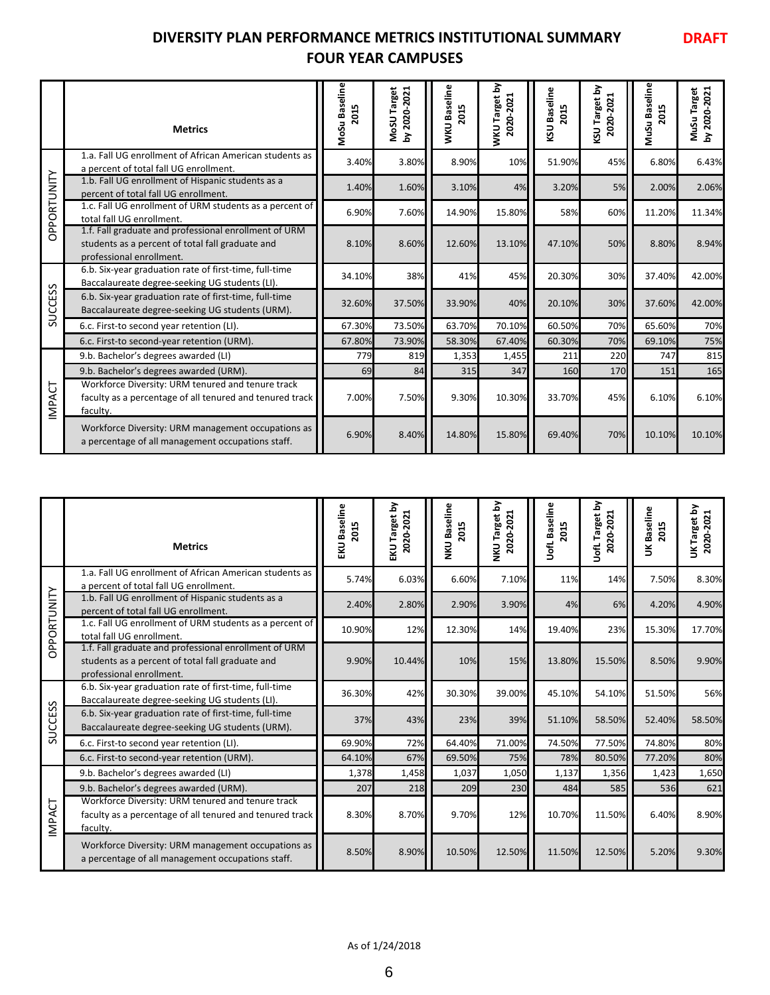### **DIVERSITY PLAN PERFORMANCE METRICS INSTITUTIONAL SUMMARY FOUR YEAR CAMPUSES**

**DRAFT**

|                | <b>Metrics</b>                                                                                                                        | MoSu Baseline<br>2015 | MoSU Target<br>2020-2021<br>Σ | WKU Baseline<br>2015 | 호<br><b>MKU Target</b><br>2020-2021 | KSU Baseline<br>2015 | 호<br>2020-2021<br><b>KSU Target</b> | MuSu Baseline<br>2015 | 2020-2021<br>Target<br>MuSu <sup>-</sup><br>$\mathbf{\Sigma}$ |
|----------------|---------------------------------------------------------------------------------------------------------------------------------------|-----------------------|-------------------------------|----------------------|-------------------------------------|----------------------|-------------------------------------|-----------------------|---------------------------------------------------------------|
|                | 1.a. Fall UG enrollment of African American students as<br>a percent of total fall UG enrollment.                                     | 3.40%                 | 3.80%                         | 8.90%                | 10%                                 | 51.90%               | 45%                                 | 6.80%                 | 6.43%                                                         |
|                | 1.b. Fall UG enrollment of Hispanic students as a<br>percent of total fall UG enrollment.                                             | 1.40%                 | 1.60%                         | 3.10%                | 4%                                  | 3.20%                | 5%                                  | 2.00%                 | 2.06%                                                         |
| OPPORTUNITY    | 1.c. Fall UG enrollment of URM students as a percent of<br>total fall UG enrollment.                                                  | 6.90%                 | 7.60%                         | 14.90%               | 15.80%                              | 58%                  | 60%                                 | 11.20%                | 11.34%                                                        |
|                | 1.f. Fall graduate and professional enrollment of URM<br>students as a percent of total fall graduate and<br>professional enrollment. | 8.10%                 | 8.60%                         | 12.60%               | 13.10%                              | 47.10%               | 50%                                 | 8.80%                 | 8.94%                                                         |
|                | 6.b. Six-year graduation rate of first-time, full-time<br>Baccalaureate degree-seeking UG students (LI).                              | 34.10%                | 38%                           | 41%                  | 45%                                 | 20.30%               | 30%                                 | 37.40%                | 42.00%                                                        |
| <b>SUCCESS</b> | 6.b. Six-year graduation rate of first-time, full-time<br>Baccalaureate degree-seeking UG students (URM).                             | 32.60%                | 37.50%                        | 33.90%               | 40%                                 | 20.10%               | 30%                                 | 37.60%                | 42.00%                                                        |
|                | 6.c. First-to second year retention (LI).                                                                                             | 67.30%                | 73.50%                        | 63.70%               | 70.10%                              | 60.50%               | 70%                                 | 65.60%                | 70%                                                           |
|                | 6.c. First-to second-year retention (URM).                                                                                            | 67.80%                | 73.90%                        | 58.30%               | 67.40%                              | 60.30%               | 70%                                 | 69.10%                | 75%                                                           |
|                | 9.b. Bachelor's degrees awarded (LI)                                                                                                  | 779                   | 819                           | 1,353                | 1,455                               | 211                  | 220                                 | 747                   | 815                                                           |
|                | 9.b. Bachelor's degrees awarded (URM).                                                                                                | 69                    | 84                            | 315                  | 347                                 | 160                  | 170                                 | 151                   | 165                                                           |
| INPACT         | Workforce Diversity: URM tenured and tenure track<br>faculty as a percentage of all tenured and tenured track<br>faculty.             | 7.00%                 | 7.50%                         | 9.30%                | 10.30%                              | 33.70%               | 45%                                 | 6.10%                 | 6.10%                                                         |
|                | Workforce Diversity: URM management occupations as<br>a percentage of all management occupations staff.                               | 6.90%                 | 8.40%                         | 14.80%               | 15.80%                              | 69.40%               | 70%                                 | 10.10%                | 10.10%                                                        |

|                 | <b>Metrics</b>                                                                                                                                                      | MoSu Baseline<br>2015 | MoSU Target<br>by 2020-2021 | WKU Baseline<br>2015        | WKU Target by<br>2020-2021        | <b>KSU Baseline</b><br>2015 | KSU Target by<br>2020-2021         | MuSu Baseline<br>2015 | by 2020-2021<br>MuSu Target |
|-----------------|---------------------------------------------------------------------------------------------------------------------------------------------------------------------|-----------------------|-----------------------------|-----------------------------|-----------------------------------|-----------------------------|------------------------------------|-----------------------|-----------------------------|
|                 | 1.a. Fall UG enrollment of African American students as<br>a percent of total fall UG enrollment.                                                                   | 3.40%                 | 3.80%                       | 8.90%                       | 10%                               | 51.90%                      | 45%                                | 6.80%                 | 6.43%                       |
|                 | 1.b. Fall UG enrollment of Hispanic students as a<br>percent of total fall UG enrollment.                                                                           | 1.40%                 | 1.60%                       | 3.10%                       | 4%                                | 3.20%                       | 5%                                 | 2.00%                 | 2.06%                       |
| OPPORTUNITY     | 1.c. Fall UG enrollment of URM students as a percent of<br>total fall UG enrollment.                                                                                | 6.90%                 | 7.60%                       | 14.90%                      | 15.80%                            | 58%                         | 60%                                | 11.20%                | 11.34%                      |
|                 | 1.f. Fall graduate and professional enrollment of URM<br>students as a percent of total fall graduate and<br>professional enrollment.                               | 8.10%                 | 8.60%                       | 12.60%                      | 13.10%                            | 47.10%                      | 50%                                | 8.80%                 | 8.94%                       |
|                 | 6.b. Six-year graduation rate of first-time, full-time<br>Baccalaureate degree-seeking UG students (LI).                                                            | 34.10%                | 38%                         | 41%                         | 45%                               | 20.30%                      | 30%                                | 37.40%                | 42.00%                      |
| <b>SUCCESS</b>  | 6.b. Six-year graduation rate of first-time, full-time<br>Baccalaureate degree-seeking UG students (URM).                                                           | 32.60%                | 37.50%                      | 33.90%                      | 40%                               | 20.10%                      | 30%                                | 37.60%                | 42.00%                      |
|                 | 6.c. First-to second year retention (LI).                                                                                                                           | 67.30%                | 73.50%                      | 63.70%                      | 70.10%                            | 60.50%                      | 70%                                | 65.60%                | 70%                         |
|                 | 6.c. First-to second-year retention (URM).                                                                                                                          | 67.80%                | 73.90%                      | 58.30%                      | 67.40%                            | 60.30%                      | 70%                                | 69.10%                | 75%                         |
|                 | 9.b. Bachelor's degrees awarded (LI)                                                                                                                                | 779                   | 819                         | 1,353                       | 1,455                             | 211                         | 220                                | 747                   | 815                         |
|                 | 9.b. Bachelor's degrees awarded (URM).                                                                                                                              | 69                    | 84                          | 315                         | 347                               | 160                         | 170                                | 151                   | 165                         |
| <b>INPACT</b>   | Workforce Diversity: URM tenured and tenure track<br>faculty as a percentage of all tenured and tenured track<br>faculty.                                           | 7.00%                 | 7.50%                       | 9.30%                       | 10.30%                            | 33.70%                      | 45%                                | 6.10%                 | 6.10%                       |
|                 | Workforce Diversity: URM management occupations as<br>a percentage of all management occupations staff.                                                             | 6.90%                 | 8.40%                       | 14.80%                      | 15.80%                            | 69.40%                      | 70%                                | 10.10%                | 10.10%                      |
|                 |                                                                                                                                                                     |                       |                             |                             |                                   |                             |                                    |                       |                             |
|                 | <b>Metrics</b>                                                                                                                                                      | EKU Baseline<br>2015  | EKU Target by<br>2020-2021  | <b>NKU Baseline</b><br>2015 | <b>NKU Target by</b><br>2020-2021 | UofL Baseline<br>2015       | <b>UofL Target by</b><br>2020-2021 | UK Baseline<br>2015   | UK Target by<br>2020-2021   |
|                 | 1.a. Fall UG enrollment of African American students as                                                                                                             | 5.74%                 | 6.03%                       | 6.60%                       | 7.10%                             | 11%                         | 14%                                | 7.50%                 | 8.30%                       |
|                 | a percent of total fall UG enrollment.<br>1.b. Fall UG enrollment of Hispanic students as a<br>percent of total fall UG enrollment.                                 | 2.40%                 | 2.80%                       | 2.90%                       | 3.90%                             | 4%                          | 6%                                 | 4.20%                 | 4.90%                       |
|                 | 1.c. Fall UG enrollment of URM students as a percent of<br>total fall UG enrollment.                                                                                | 10.90%                | 12%                         | 12.30%                      | 14%                               | 19.40%                      | 23%                                | 15.30%                | 17.70%                      |
| PPORTUNITY<br>ō | 1.f. Fall graduate and professional enrollment of URM<br>students as a percent of total fall graduate and<br>professional enrollment.                               | 9.90%                 | 10.44%                      | 10%                         | 15%                               | 13.80%                      | 15.50%                             | 8.50%                 | 9.90%                       |
|                 | 6.b. Six-year graduation rate of first-time, full-time<br>Baccalaureate degree-seeking UG students (LI).                                                            | 36.30%                | 42%                         | 30.30%                      | 39.00%                            | 45.10%                      | 54.10%                             | 51.50%                | 56%                         |
|                 | 6.b. Six-year graduation rate of first-time, full-time<br>Baccalaureate degree-seeking UG students (URM).                                                           | 37%                   | 43%                         | 23%                         | 39%                               | 51.10%                      | 58.50%                             | 52.40%                | 58.50%                      |
| <b>SUCCESS</b>  | 6.c. First-to second year retention (LI).                                                                                                                           | 69.90%                | 72%                         | 64.40%                      | 71.00%                            | 74.50%                      | 77.50%                             | 74.80%                | 80%                         |
|                 | 6.c. First-to second-year retention (URM).                                                                                                                          | 64.10%                | 67%                         | 69.50%                      | 75%                               | 78%                         | 80.50%                             | 77.20%                | 80%                         |
|                 | 9.b. Bachelor's degrees awarded (LI)                                                                                                                                | 1,378                 | 1,458                       | 1,037                       | 1,050                             | 1,137                       | 1,356                              | 1,423                 | 1,650                       |
| IMPACT          | 9.b. Bachelor's degrees awarded (URM).<br>Workforce Diversity: URM tenured and tenure track<br>faculty as a percentage of all tenured and tenured track<br>faculty. | 207<br>8.30%          | 218<br>8.70%                | 209<br>9.70%                | 230<br>12%                        | 484<br>10.70%               | 585<br>11.50%                      | 536<br>6.40%          | 621<br>8.90%                |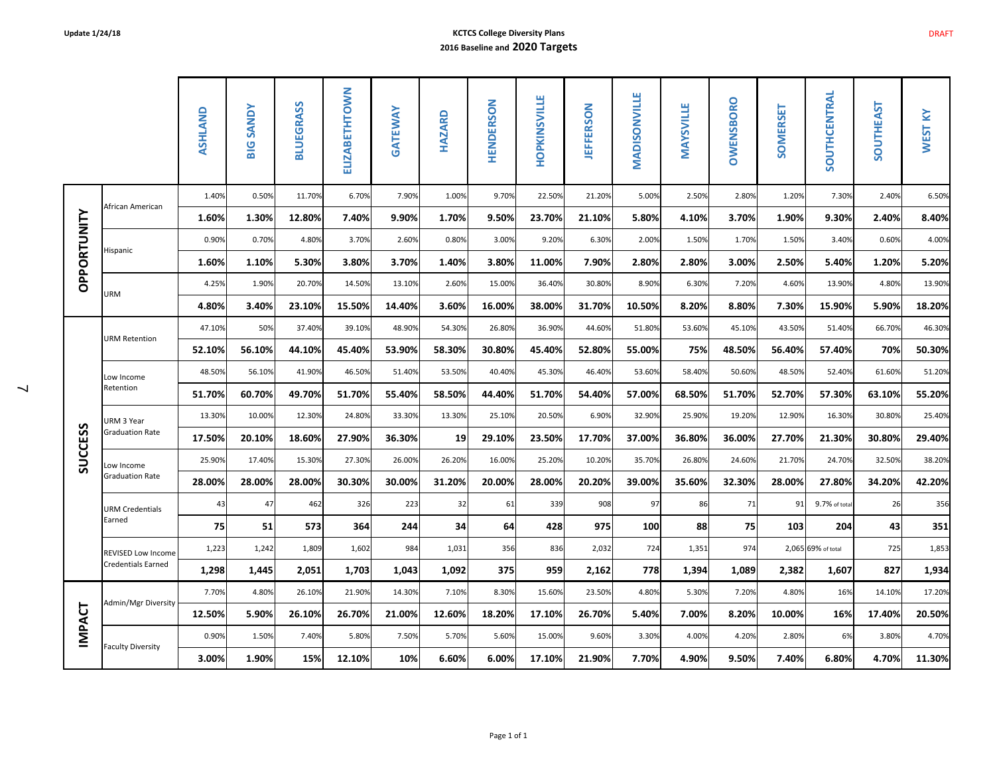#### **Update 1/24/18 KCTCS College Diversity Plans 2016 Baseline and 2020 Targets**

|                |                                      | ASHLAND | <b>BIG SANDY</b> | <b>BLUEGRASS</b> | ELIZABETHTOWN | GATEWAY | <b>HAZARD</b> | HENDERSON | HOPKINSVILLE | <b>JEFFERSON</b> | <b>MADISONVILLE</b> | <b>MAYSVILLE</b> | OWENSBORO | SOMERSET | SOUTHCENTRAL       | <b>SOUTHEAST</b> | <b>WEST KY</b> |
|----------------|--------------------------------------|---------|------------------|------------------|---------------|---------|---------------|-----------|--------------|------------------|---------------------|------------------|-----------|----------|--------------------|------------------|----------------|
|                | African American                     | 1.40%   | 0.50%            | 11.70%           | 6.70%         | 7.90%   | 1.00%         | 9.70%     | 22.50%       | 21.20%           | 5.00%               | 2.50%            | 2.80%     | 1.20%    | 7.30%              | 2.40%            | 6.50%          |
|                |                                      | 1.60%   | 1.30%            | 12.80%           | 7.40%         | 9.90%   | 1.70%         | 9.50%     | 23.70%       | 21.10%           | 5.80%               | 4.10%            | 3.70%     | 1.90%    | 9.30%              | 2.40%            | 8.40%          |
| OPPORTUNITY    | Hispanic                             | 0.90%   | 0.70%            | 4.80%            | 3.70%         | 2.60%   | 0.80%         | 3.00%     | 9.20%        | 6.30%            | 2.00%               | 1.50%            | 1.70%     | 1.50%    | 3.40%              | 0.60%            | 4.00%          |
|                |                                      | 1.60%   | 1.10%            | 5.30%            | 3.80%         | 3.70%   | 1.40%         | 3.80%     | 11.00%       | 7.90%            | 2.80%               | 2.80%            | 3.00%     | 2.50%    | 5.40%              | 1.20%            | 5.20%          |
|                | <b>URM</b>                           | 4.25%   | 1.90%            | 20.70%           | 14.50%        | 13.10%  | 2.60%         | 15.00%    | 36.40%       | 30.80%           | 8.90%               | 6.30%            | 7.20%     | 4.60%    | 13.90%             | 4.80%            | 13.90%         |
|                |                                      | 4.80%   | 3.40%            | 23.10%           | 15.50%        | 14.40%  | 3.60%         | 16.00%    | 38.00%       | 31.70%           | 10.50%              | 8.20%            | 8.80%     | 7.30%    | 15.90%             | 5.90%            | 18.20%         |
|                | <b>URM Retention</b>                 | 47.10%  | 50%              | 37.40%           | 39.10%        | 48.90%  | 54.30%        | 26.80%    | 36.90%       | 44.60%           | 51.80%              | 53.60%           | 45.10%    | 43.50%   | 51.40%             | 66.70%           | 46.30%         |
|                |                                      | 52.10%  | 56.10%           | 44.10%           | 45.40%        | 53.90%  | 58.30%        | 30.80%    | 45.40%       | 52.80%           | 55.00%              | 75%              | 48.50%    | 56.40%   | 57.40%             | 70%              | 50.30%         |
|                | Low Income<br>Retention              | 48.50%  | 56.10%           | 41.90%           | 46.50%        | 51.40%  | 53.50%        | 40.40%    | 45.30%       | 46.40%           | 53.60%              | 58.40%           | 50.60%    | 48.50%   | 52.40%             | 61.60%           | 51.20%         |
|                |                                      | 51.70%  | 60.70%           | 49.70%           | 51.70%        | 55.40%  | 58.50%        | 44.40%    | 51.70%       | 54.40%           | 57.00%              | 68.50%           | 51.70%    | 52.70%   | 57.30%             | 63.10%           | 55.20%         |
|                | URM 3 Year<br><b>Graduation Rate</b> | 13.30%  | 10.00%           | 12.30%           | 24.80%        | 33.30%  | 13.30%        | 25.10%    | 20.50%       | 6.90%            | 32.90%              | 25.90%           | 19.20%    | 12.90%   | 16.30%             | 30.80%           | 25.40%         |
|                |                                      | 17.50%  | 20.10%           | 18.60%           | 27.90%        | 36.30%  | 19            | 29.10%    | 23.50%       | 17.70%           | 37.00%              | 36.80%           | 36.00%    | 27.70%   | 21.30%             | 30.80%           | 29.40%         |
| <b>SUCCESS</b> | Low Income<br><b>Graduation Rate</b> | 25.90%  | 17.40%           | 15.30%           | 27.30%        | 26.00%  | 26.20%        | 16.00%    | 25.20%       | 10.20%           | 35.70%              | 26.80%           | 24.60%    | 21.70%   | 24.70%             | 32.50%           | 38.20%         |
|                |                                      | 28.00%  | 28.00%           | 28.00%           | 30.30%        | 30.00%  | 31.20%        | 20.00%    | 28.00%       | 20.20%           | 39.00%              | 35.60%           | 32.30%    | 28.00%   | 27.80%             | 34.20%           | 42.20%         |
|                | <b>URM Credentials</b>               | 43      | 47               | 462              | 326           | 223     | 32            | 61        | 339          | 908              | 97                  | 86               | 71        | 91       | 9.7% of tota       | 26               | 356            |
|                | Earned                               | 75      | 51               | 573              | 364           | 244     | 34            | 64        | 428          | 975              | 100                 | 88               | 75        | 103      | 204                | 43               | 351            |
|                | REVISED Low Income                   | 1,223   | 1,242            | 1,809            | 1,602         | 984     | 1,031         | 356       | 836          | 2,032            | 724                 | 1,351            | 974       |          | 2,065 69% of total | 725              | 1,853          |
|                | <b>Credentials Earned</b>            | 1,298   | 1,445            | 2,051            | 1,703         | 1,043   | 1,092         | 375       | 959          | 2,162            | 778                 | 1,394            | 1,089     | 2,382    | 1,607              | 827              | 1,934          |
|                | Admin/Mgr Diversity                  | 7.70%   | 4.80%            | 26.10%           | 21.90%        | 14.30%  | 7.10%         | 8.30%     | 15.60%       | 23.50%           | 4.80%               | 5.30%            | 7.20%     | 4.80%    | 16%                | 14.10%           | 17.20%         |
| <b>IMPACT</b>  |                                      | 12.50%  | 5.90%            | 26.10%           | 26.70%        | 21.00%  | 12.60%        | 18.20%    | 17.10%       | 26.70%           | 5.40%               | 7.00%            | 8.20%     | 10.00%   | 16%                | 17.40%           | 20.50%         |
|                | <b>Faculty Diversity</b>             | 0.90%   | 1.50%            | 7.40%            | 5.80%         | 7.50%   | 5.70%         | 5.60%     | 15.00%       | 9.60%            | 3.30%               | 4.00%            | 4.20%     | 2.80%    | 6%                 | 3.80%            | 4.70%          |
|                |                                      | 3.00%   | 1.90%            | 15%              | 12.10%        | 10%     | 6.60%         | 6.00%     | 17.10%       | 21.90%           | 7.70%               | 4.90%            | 9.50%     | 7.40%    | 6.80%              | 4.70%            | 11.30%         |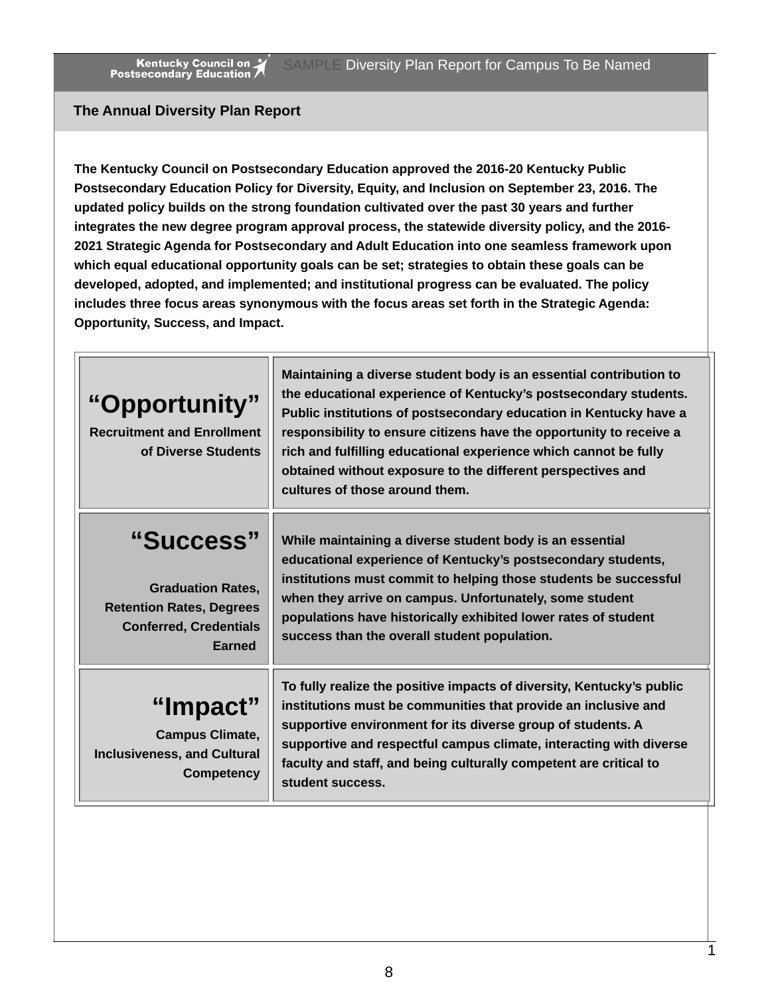#### **The Annual Diversity Plan Report**

**The Kentucky Council on Postsecondary Education approved the 2016-20 Kentucky Public Postsecondary Education Policy for Diversity, Equity, and Inclusion on September 23, 2016. The updated policy builds on the strong foundation cultivated over the past 30 years and further integrates the new degree program approval process, the statewide diversity policy, and the 2016- 2021 Strategic Agenda for Postsecondary and Adult Education into one seamless framework upon which equal educational opportunity goals can be set; strategies to obtain these goals can be developed, adopted, and implemented; and institutional progress can be evaluated. The policy includes three focus areas synonymous with the focus areas set forth in the Strategic Agenda: Opportunity, Success, and Impact.**

| "Opportunity"<br><b>Recruitment and Enrollment</b><br>of Diverse Students                                                  | Maintaining a diverse student body is an essential contribution to<br>the educational experience of Kentucky's postsecondary students.<br>Public institutions of postsecondary education in Kentucky have a<br>responsibility to ensure citizens have the opportunity to receive a<br>rich and fulfilling educational experience which cannot be fully<br>obtained without exposure to the different perspectives and<br>cultures of those around them. |
|----------------------------------------------------------------------------------------------------------------------------|---------------------------------------------------------------------------------------------------------------------------------------------------------------------------------------------------------------------------------------------------------------------------------------------------------------------------------------------------------------------------------------------------------------------------------------------------------|
| "Success"<br><b>Graduation Rates,</b><br><b>Retention Rates, Degrees</b><br><b>Conferred, Credentials</b><br><b>Earned</b> | While maintaining a diverse student body is an essential<br>educational experience of Kentucky's postsecondary students,<br>institutions must commit to helping those students be successful<br>when they arrive on campus. Unfortunately, some student<br>populations have historically exhibited lower rates of student<br>success than the overall student population.                                                                               |
| "Impact"<br><b>Campus Climate,</b><br><b>Inclusiveness, and Cultural</b><br><b>Competency</b>                              | To fully realize the positive impacts of diversity, Kentucky's public<br>institutions must be communities that provide an inclusive and<br>supportive environment for its diverse group of students. A<br>supportive and respectful campus climate, interacting with diverse<br>faculty and staff, and being culturally competent are critical to<br>student success.                                                                                   |

8

1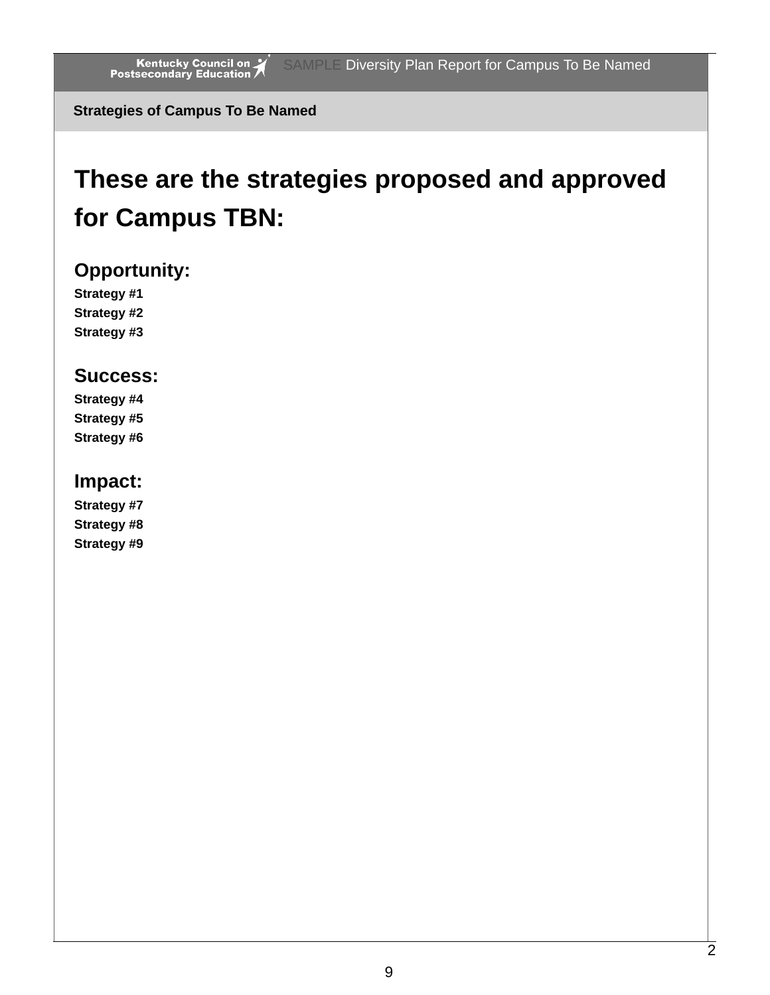**Strategies of Campus To Be Named**

## **These are the strategies proposed and approved for Campus TBN:**

### **Opportunity:**

**Strategy #1 Strategy #2 Strategy #3**

### **Success:**

**Strategy #4 Strategy #5 Strategy #6**

### **Impact:**

**Strategy #7 Strategy #8 Strategy #9**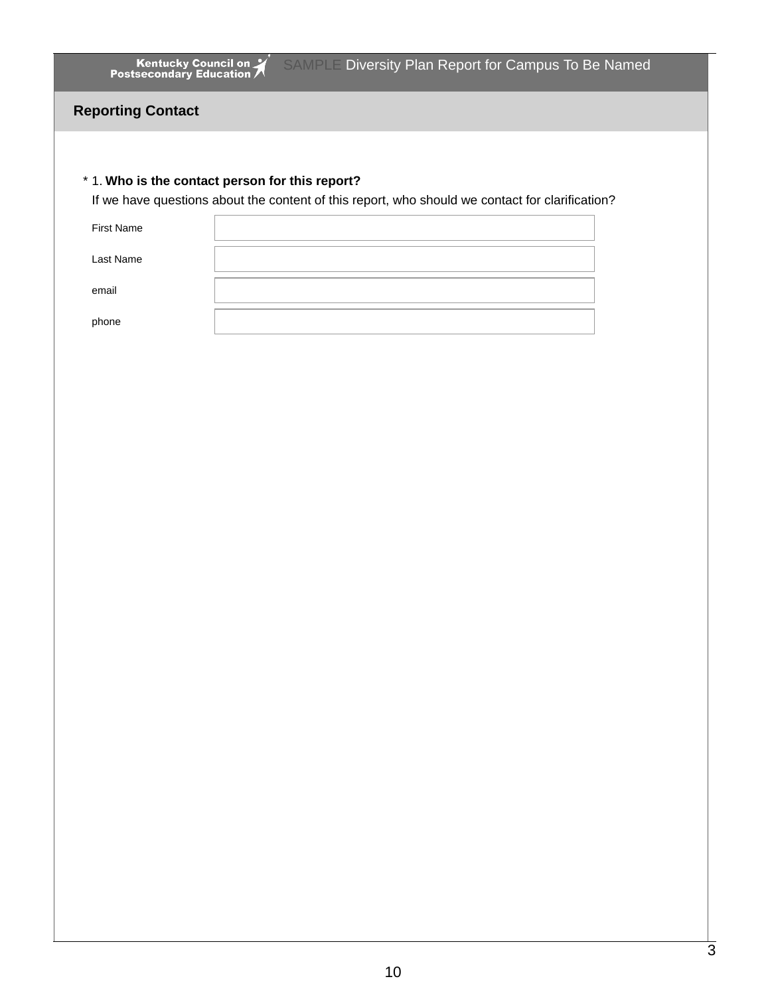Kentucky Council on 7 SAMPLE Diversity Plan Report for Campus To Be Named

#### **Reporting Contact**

#### 1. **Who is the contact person for this report?** \*

If we have questions about the content of this report, who should we contact for clarification?

| <b>First Name</b> |  |
|-------------------|--|
| <b>Last Name</b>  |  |
| email             |  |
| phone             |  |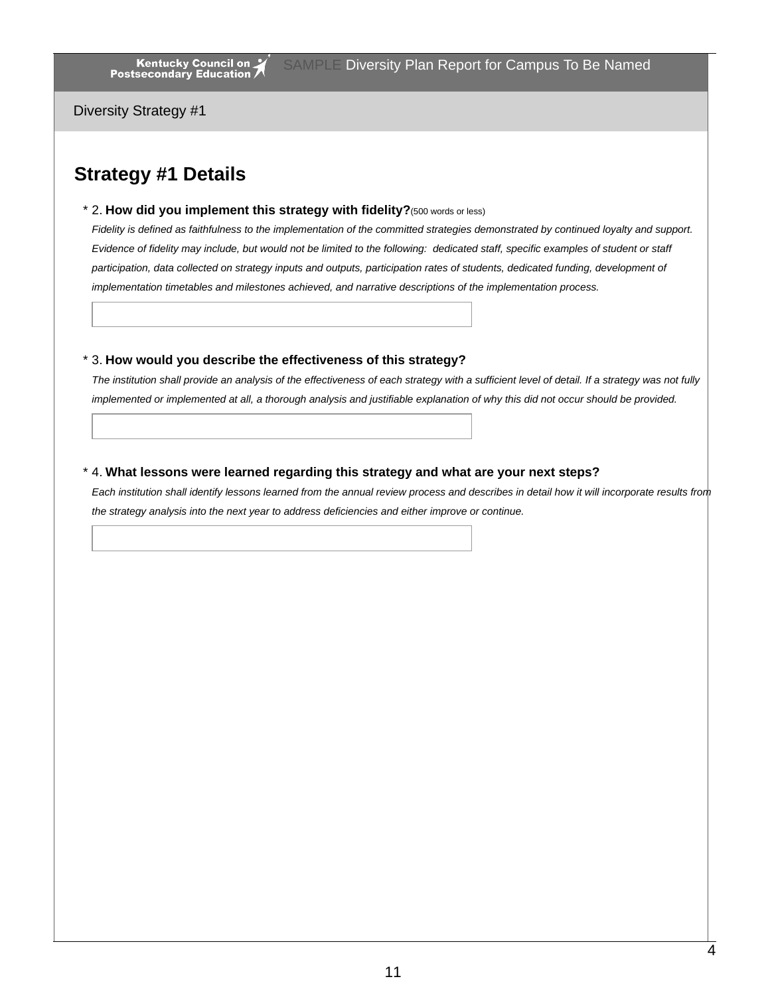Diversity Strategy #1

### **Strategy #1 Details**

2. **How did you implement this strategy with fidelity?**(500 words or less) \*

Fidelity is defined as faithfulness to the implementation of the committed strategies demonstrated by continued loyalty and support. Evidence of fidelity may include, but would not be limited to the following: dedicated staff, specific examples of student or staff participation, data collected on strategy inputs and outputs, participation rates of students, dedicated funding, development of *implementation timetables and milestones achieved, and narrative descriptions of the implementation process.*

#### 3. **How would you describe the effectiveness of this strategy?** \*

The institution shall provide an analysis of the effectiveness of each strategy with a sufficient level of detail. If a strategy was not fully implemented or implemented at all, a thorough analysis and justifiable explanation of why this did not occur should be provided.

#### 4. **What lessons were learned regarding this strategy and what are your next steps?** \*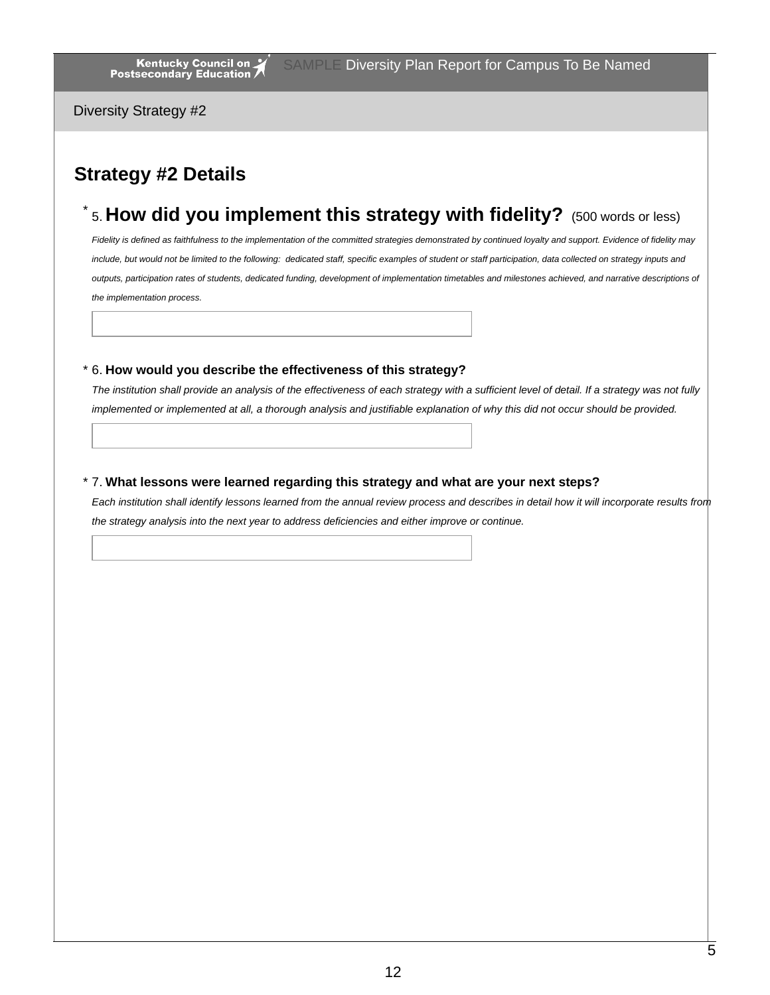Diversity Strategy #2

### **Strategy #2 Details**

### 5. **How did you implement this strategy with fidelity?** (500 words or less) \*

Fidelity is defined as faithfulness to the implementation of the committed strategies demonstrated by continued loyalty and support. Evidence of fidelity may include, but would not be limited to the following: dedicated staff, specific examples of student or staff participation, data collected on strategy inputs and outputs, participation rates of students, dedicated funding, development of implementation timetables and milestones achieved, and narrative descriptions of *the implementation process.*

#### 6. **How would you describe the effectiveness of this strategy?** \*

The institution shall provide an analysis of the effectiveness of each strategy with a sufficient level of detail. If a strategy was not fully implemented or implemented at all, a thorough analysis and justifiable explanation of why this did not occur should be provided.

#### 7. **What lessons were learned regarding this strategy and what are your next steps?** \*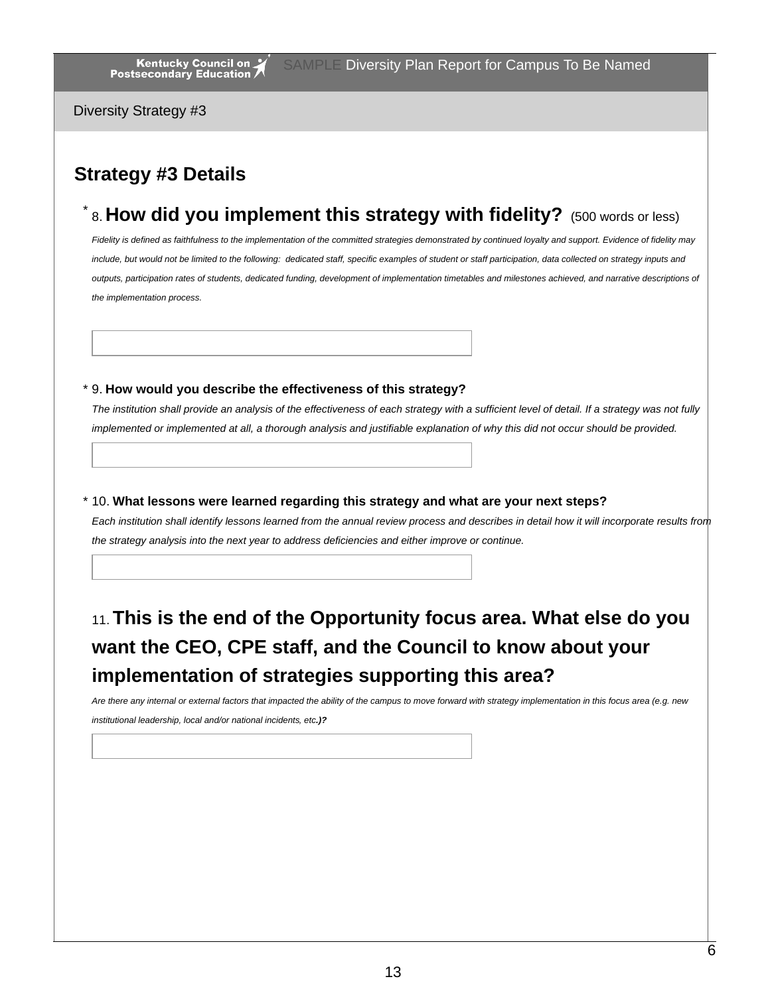Diversity Strategy #3

### **Strategy #3 Details**

### 8. **How did you implement this strategy with fidelity?** (500 words or less) \*

Fidelity is defined as faithfulness to the implementation of the committed strategies demonstrated by continued loyalty and support. Evidence of fidelity may include, but would not be limited to the following: dedicated staff, specific examples of student or staff participation, data collected on strategy inputs and outputs, participation rates of students, dedicated funding, development of implementation timetables and milestones achieved, and narrative descriptions of *the implementation process.*

#### 9. **How would you describe the effectiveness of this strategy?** \*

The institution shall provide an analysis of the effectiveness of each strategy with a sufficient level of detail. If a strategy was not fully implemented or implemented at all, a thorough analysis and justifiable explanation of why this did not occur should be provided.

10. **What lessons were learned regarding this strategy and what are your next steps?** \*

Each institution shall identify lessons learned from the annual review process and describes in detail how it will incorporate results from *the strategy analysis into the next year to address deficiencies and either improve or continue.*

### 11.**This is the end of the Opportunity focus area. What else do you want the CEO, CPE staff, and the Council to know about your implementation of strategies supporting this area?**

Are there any internal or external factors that impacted the ability of the campus to move forward with strategy implementation in this focus area (e.g. new

*institutional leadership, local and/or national incidents, etc.)?*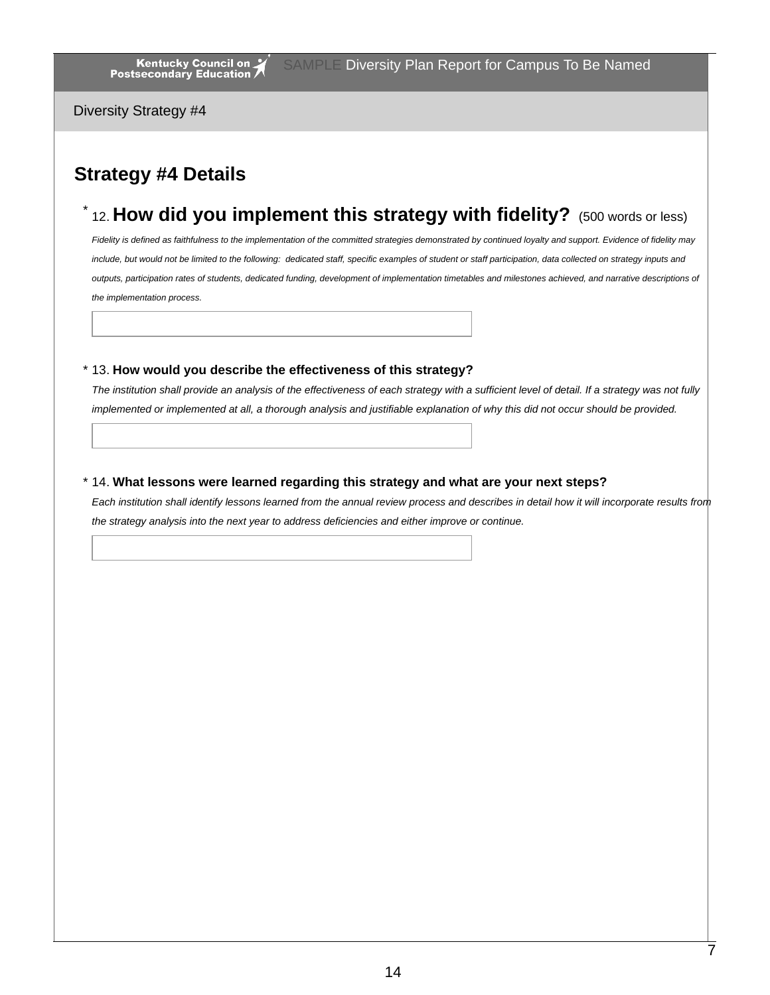Diversity Strategy #4

### **Strategy #4 Details**

### 12. **How did you implement this strategy with fidelity?** (500 words or less) \*

Fidelity is defined as faithfulness to the implementation of the committed strategies demonstrated by continued loyalty and support. Evidence of fidelity may include, but would not be limited to the following: dedicated staff, specific examples of student or staff participation, data collected on strategy inputs and outputs, participation rates of students, dedicated funding, development of implementation timetables and milestones achieved, and narrative descriptions of *the implementation process.*

#### 13. **How would you describe the effectiveness of this strategy?** \*

The institution shall provide an analysis of the effectiveness of each strategy with a sufficient level of detail. If a strategy was not fully implemented or implemented at all, a thorough analysis and justifiable explanation of why this did not occur should be provided.

#### 14. **What lessons were learned regarding this strategy and what are your next steps?** \*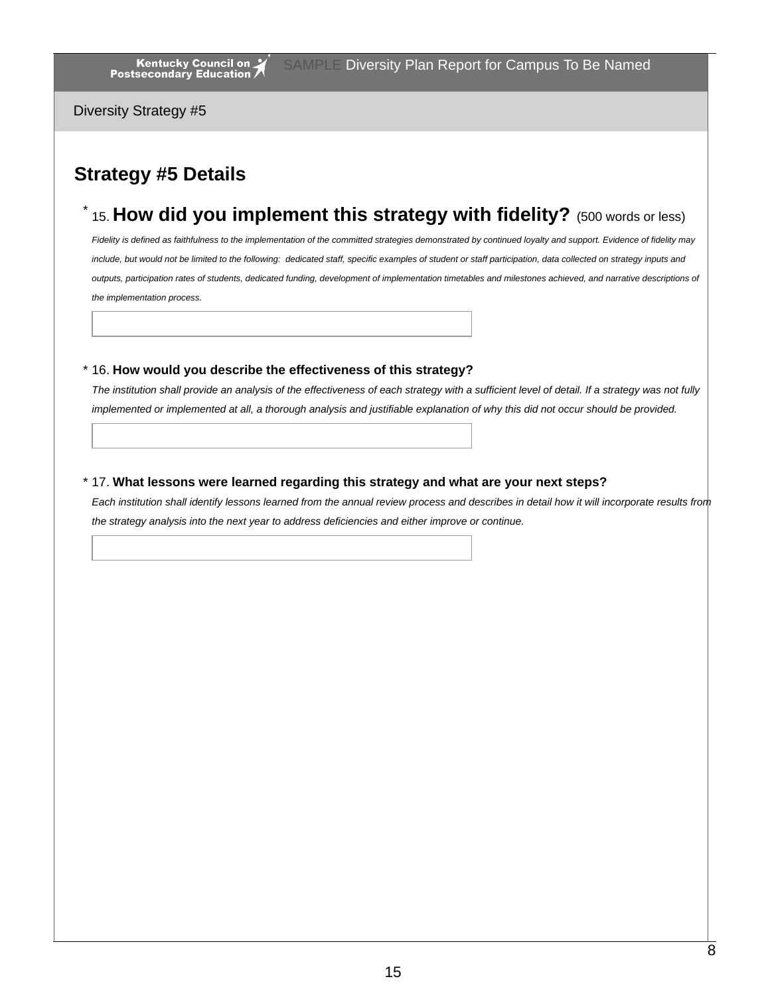Diversity Strategy #5

### **Strategy #5 Details**

### 15. **How did you implement this strategy with fidelity?** (500 words or less) \*

Fidelity is defined as faithfulness to the implementation of the committed strategies demonstrated by continued loyalty and support. Evidence of fidelity may include, but would not be limited to the following: dedicated staff, specific examples of student or staff participation, data collected on strategy inputs and outputs, participation rates of students, dedicated funding, development of implementation timetables and milestones achieved, and narrative descriptions of *the implementation process.*

#### 16. **How would you describe the effectiveness of this strategy?** \*

The institution shall provide an analysis of the effectiveness of each strategy with a sufficient level of detail. If a strategy was not fully implemented or implemented at all, a thorough analysis and justifiable explanation of why this did not occur should be provided.

#### 17. **What lessons were learned regarding this strategy and what are your next steps?** \*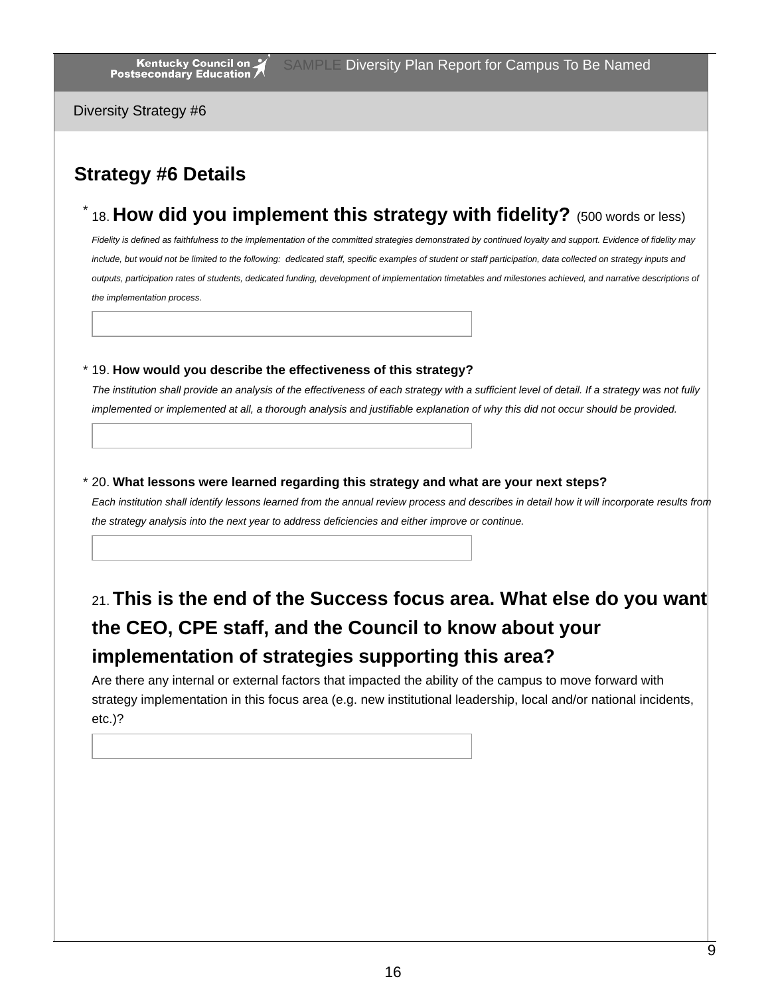Diversity Strategy #6

### **Strategy #6 Details**

### 18. **How did you implement this strategy with fidelity?** (500 words or less) \*

Fidelity is defined as faithfulness to the implementation of the committed strategies demonstrated by continued loyalty and support. Evidence of fidelity may include, but would not be limited to the following: dedicated staff, specific examples of student or staff participation, data collected on strategy inputs and outputs, participation rates of students, dedicated funding, development of implementation timetables and milestones achieved, and narrative descriptions of *the implementation process.*

#### 19. **How would you describe the effectiveness of this strategy?** \*

The institution shall provide an analysis of the effectiveness of each strategy with a sufficient level of detail. If a strategy was not fully implemented or implemented at all, a thorough analysis and justifiable explanation of why this did not occur should be provided.

#### 20. **What lessons were learned regarding this strategy and what are your next steps?** \*

Each institution shall identify lessons learned from the annual review process and describes in detail how it will incorporate results from *the strategy analysis into the next year to address deficiencies and either improve or continue.*

### 21.**This is the end of the Success focus area. What else do you want the CEO, CPE staff, and the Council to know about your implementation of strategies supporting this area?**

Are there any internal or external factors that impacted the ability of the campus to move forward with strategy implementation in this focus area (e.g. new institutional leadership, local and/or national incidents, etc.)?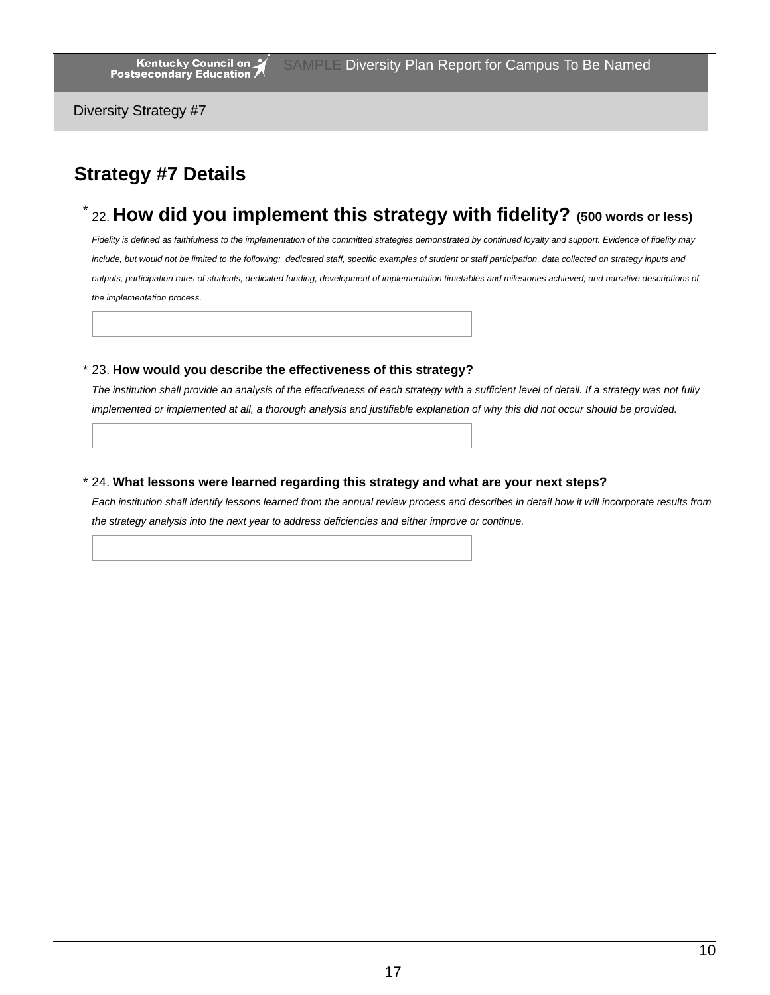Diversity Strategy #7

### **Strategy #7 Details**

### 22. **How did you implement this strategy with fidelity? (500 words or less)** \*

Fidelity is defined as faithfulness to the implementation of the committed strategies demonstrated by continued loyalty and support. Evidence of fidelity may include, but would not be limited to the following: dedicated staff, specific examples of student or staff participation, data collected on strategy inputs and outputs, participation rates of students, dedicated funding, development of implementation timetables and milestones achieved, and narrative descriptions of *the implementation process.*

#### 23. **How would you describe the effectiveness of this strategy?** \*

The institution shall provide an analysis of the effectiveness of each strategy with a sufficient level of detail. If a strategy was not fully implemented or implemented at all, a thorough analysis and justifiable explanation of why this did not occur should be provided.

#### 24. **What lessons were learned regarding this strategy and what are your next steps?** \*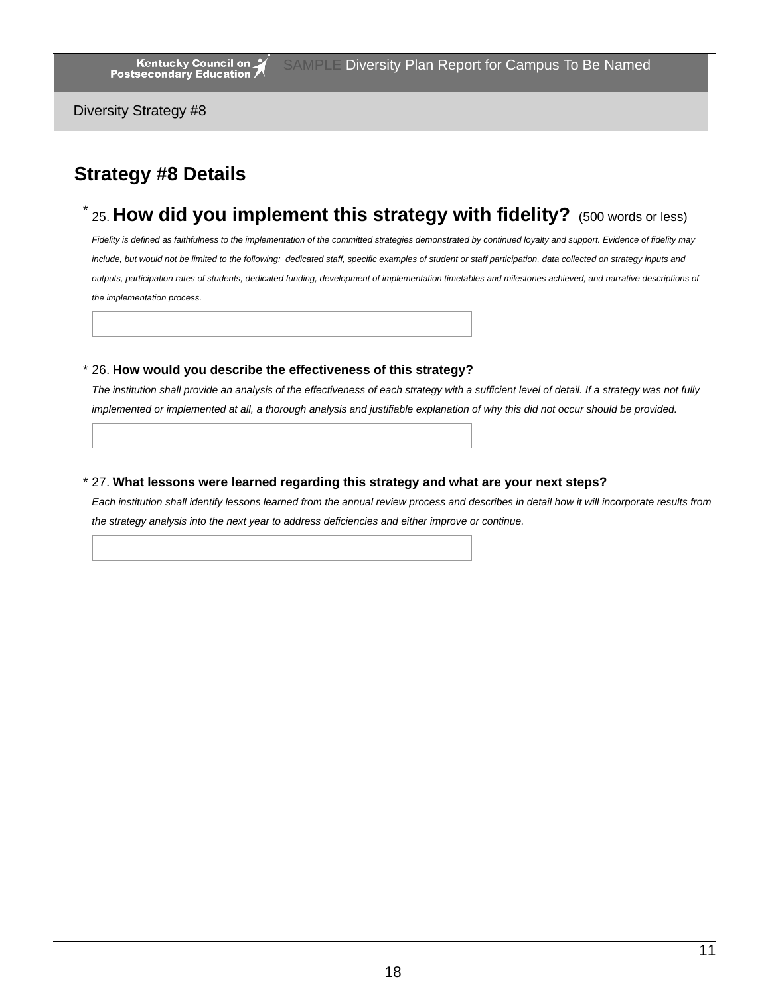Diversity Strategy #8

### **Strategy #8 Details**

### 25. **How did you implement this strategy with fidelity?** (500 words or less) \*

Fidelity is defined as faithfulness to the implementation of the committed strategies demonstrated by continued loyalty and support. Evidence of fidelity may include, but would not be limited to the following: dedicated staff, specific examples of student or staff participation, data collected on strategy inputs and outputs, participation rates of students, dedicated funding, development of implementation timetables and milestones achieved, and narrative descriptions of *the implementation process.*

#### 26. **How would you describe the effectiveness of this strategy?** \*

The institution shall provide an analysis of the effectiveness of each strategy with a sufficient level of detail. If a strategy was not fully implemented or implemented at all, a thorough analysis and justifiable explanation of why this did not occur should be provided.

#### 27. **What lessons were learned regarding this strategy and what are your next steps?** \*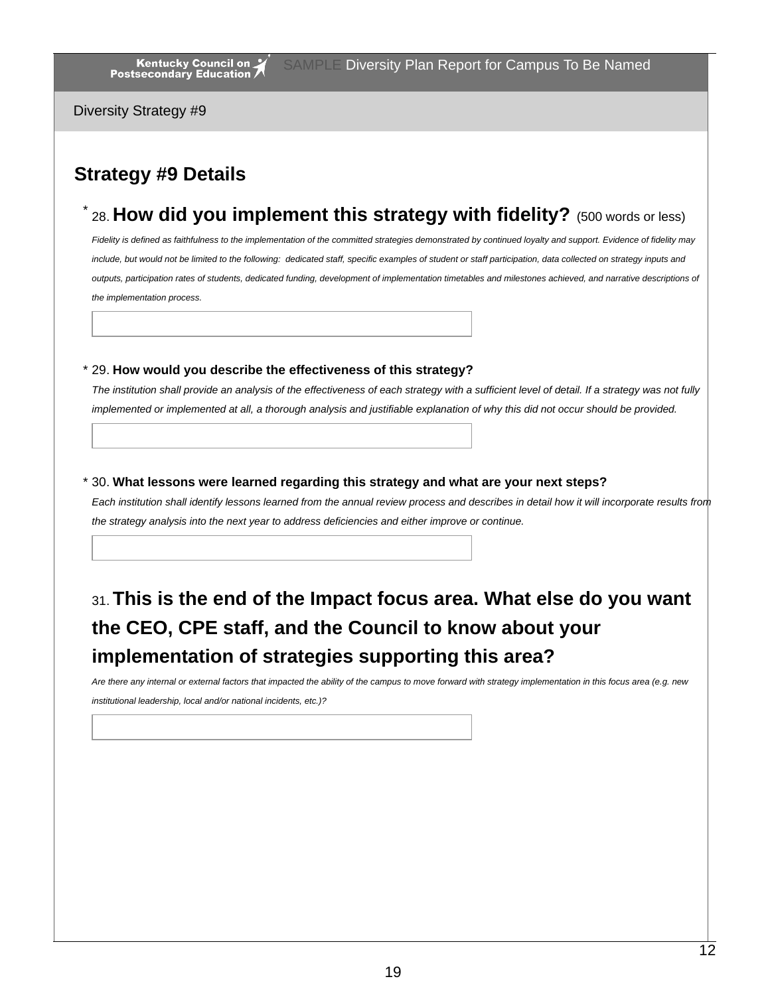Diversity Strategy #9

### **Strategy #9 Details**

28. **How did you implement this strategy with fidelity?** (500 words or less) \*

Fidelity is defined as faithfulness to the implementation of the committed strategies demonstrated by continued loyalty and support. Evidence of fidelity may include, but would not be limited to the following: dedicated staff, specific examples of student or staff participation, data collected on strategy inputs and outputs, participation rates of students, dedicated funding, development of implementation timetables and milestones achieved, and narrative descriptions of *the implementation process.*

#### 29. **How would you describe the effectiveness of this strategy?** \*

The institution shall provide an analysis of the effectiveness of each strategy with a sufficient level of detail. If a strategy was not fully implemented or implemented at all, a thorough analysis and justifiable explanation of why this did not occur should be provided.

#### 30. **What lessons were learned regarding this strategy and what are your next steps?** \*

Each institution shall identify lessons learned from the annual review process and describes in detail how it will incorporate results from *the strategy analysis into the next year to address deficiencies and either improve or continue.*

### 31.**This is the end of the Impact focus area. What else do you want the CEO, CPE staff, and the Council to know about your implementation of strategies supporting this area?**

Are there any internal or external factors that impacted the ability of the campus to move forward with strategy implementation in this focus area (e.g. new *institutional leadership, local and/or national incidents, etc.)?*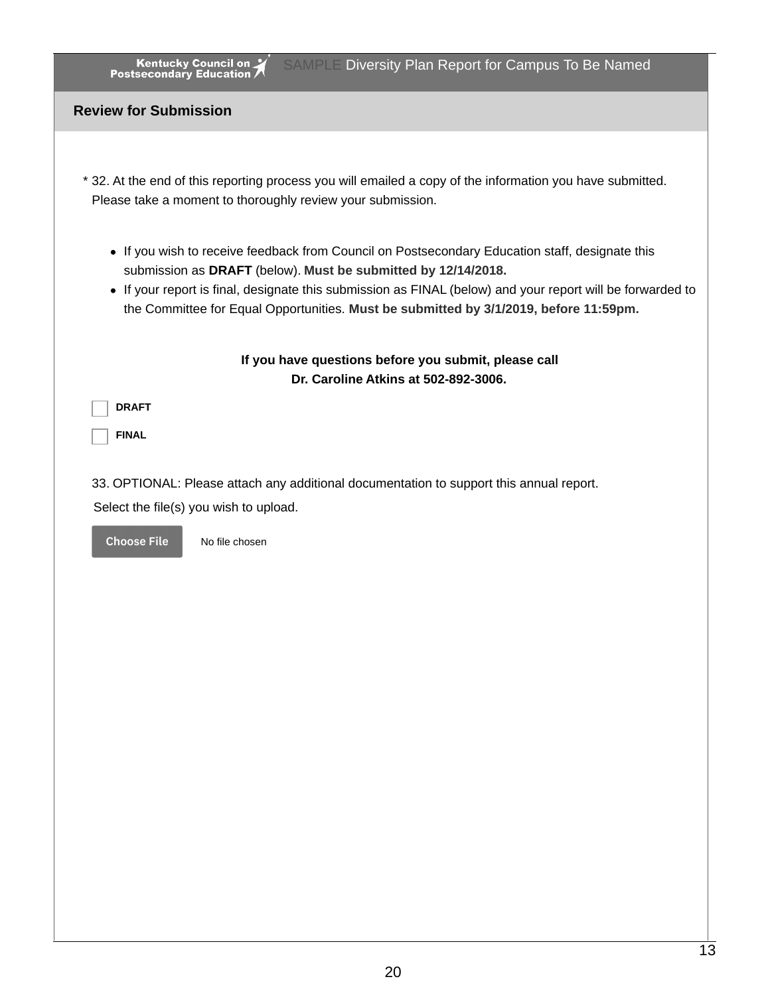| <b>Kentucky Council on Kentucky Council on Postsecondary Education</b><br><b>SAMPLE Diversity Plan Report for Campus To Be Named</b>                                                                |
|-----------------------------------------------------------------------------------------------------------------------------------------------------------------------------------------------------|
| <b>Review for Submission</b>                                                                                                                                                                        |
|                                                                                                                                                                                                     |
| * 32. At the end of this reporting process you will emailed a copy of the information you have submitted.<br>Please take a moment to thoroughly review your submission.                             |
| • If you wish to receive feedback from Council on Postsecondary Education staff, designate this<br>submission as DRAFT (below). Must be submitted by 12/14/2018.                                    |
| • If your report is final, designate this submission as FINAL (below) and your report will be forwarded to<br>the Committee for Equal Opportunities. Must be submitted by 3/1/2019, before 11:59pm. |
| If you have questions before you submit, please call<br>Dr. Caroline Atkins at 502-892-3006.                                                                                                        |
| <b>DRAFT</b>                                                                                                                                                                                        |
| <b>FINAL</b>                                                                                                                                                                                        |
| 33. OPTIONAL: Please attach any additional documentation to support this annual report.                                                                                                             |
| Select the file(s) you wish to upload.                                                                                                                                                              |
| <b>Choose File</b><br>No file chosen                                                                                                                                                                |
|                                                                                                                                                                                                     |
|                                                                                                                                                                                                     |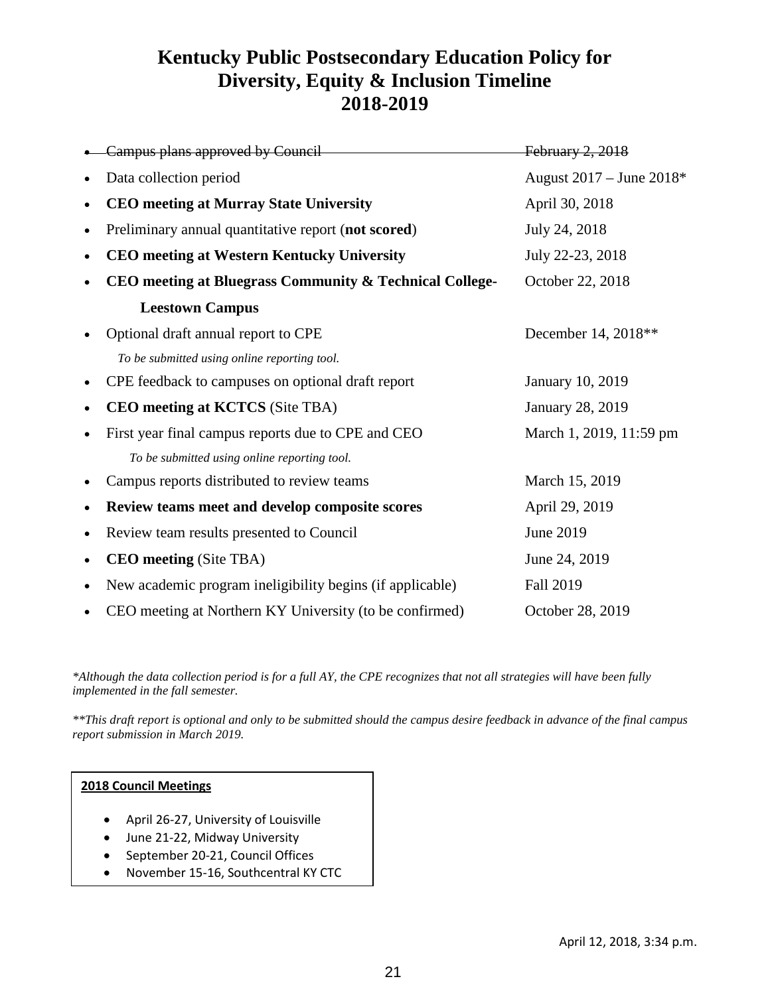### **Kentucky Public Postsecondary Education Policy for Diversity, Equity & Inclusion Timeline 2018-2019**

|           | Campus plans approved by Council                          | February 2, 2018         |
|-----------|-----------------------------------------------------------|--------------------------|
|           | Data collection period                                    | August 2017 - June 2018* |
| $\bullet$ | <b>CEO</b> meeting at Murray State University             | April 30, 2018           |
| $\bullet$ | Preliminary annual quantitative report (not scored)       | July 24, 2018            |
|           | <b>CEO</b> meeting at Western Kentucky University         | July 22-23, 2018         |
|           | CEO meeting at Bluegrass Community & Technical College-   | October 22, 2018         |
|           | <b>Leestown Campus</b>                                    |                          |
|           | Optional draft annual report to CPE                       | December 14, 2018**      |
|           | To be submitted using online reporting tool.              |                          |
| $\bullet$ | CPE feedback to campuses on optional draft report         | <b>January 10, 2019</b>  |
| $\bullet$ | <b>CEO</b> meeting at <b>KCTCS</b> (Site TBA)             | <b>January 28, 2019</b>  |
|           | First year final campus reports due to CPE and CEO        | March 1, 2019, 11:59 pm  |
|           | To be submitted using online reporting tool.              |                          |
|           | Campus reports distributed to review teams                | March 15, 2019           |
| ٠         | Review teams meet and develop composite scores            | April 29, 2019           |
| $\bullet$ | Review team results presented to Council                  | June 2019                |
| $\bullet$ | <b>CEO</b> meeting (Site TBA)                             | June 24, 2019            |
| $\bullet$ | New academic program ineligibility begins (if applicable) | Fall 2019                |
|           | CEO meeting at Northern KY University (to be confirmed)   | October 28, 2019         |

*\*Although the data collection period is for a full AY, the CPE recognizes that not all strategies will have been fully implemented in the fall semester.* 

*\*\*This draft report is optional and only to be submitted should the campus desire feedback in advance of the final campus report submission in March 2019.*

#### **2018 Council Meetings**

- April 26-27, University of Louisville
- June 21-22, Midway University
- September 20-21, Council Offices
- November 15-16, Southcentral KY CTC